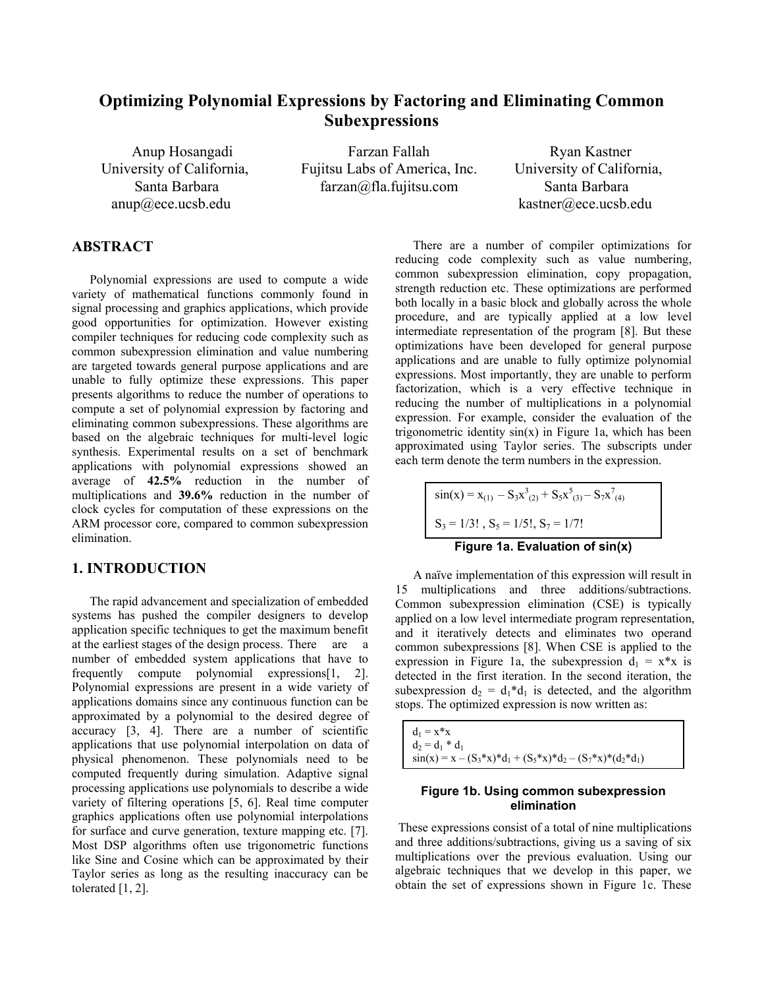# **Optimizing Polynomial Expressions by Factoring and Eliminating Common Subexpressions**

Anup Hosangadi Farzan Fallah Ryan Kastner University of California, Fujitsu Labs of America, Inc. University of California, Santa Barbara farzan@fla.fujitsu.com Santa Barbara

anup@ece.ucsb.edu kastner@ece.ucsb.edu

## **ABSTRACT**

Polynomial expressions are used to compute a wide variety of mathematical functions commonly found in signal processing and graphics applications, which provide good opportunities for optimization. However existing compiler techniques for reducing code complexity such as common subexpression elimination and value numbering are targeted towards general purpose applications and are unable to fully optimize these expressions. This paper presents algorithms to reduce the number of operations to compute a set of polynomial expression by factoring and eliminating common subexpressions. These algorithms are based on the algebraic techniques for multi-level logic synthesis. Experimental results on a set of benchmark applications with polynomial expressions showed an average of **42.5%** reduction in the number of multiplications and **39.6%** reduction in the number of clock cycles for computation of these expressions on the ARM processor core, compared to common subexpression elimination.

#### **1. INTRODUCTION**

The rapid advancement and specialization of embedded systems has pushed the compiler designers to develop application specific techniques to get the maximum benefit at the earliest stages of the design process. There are a number of embedded system applications that have to frequently compute polynomial expressions[1, 2]. Polynomial expressions are present in a wide variety of applications domains since any continuous function can be approximated by a polynomial to the desired degree of accuracy [3, 4]. There are a number of scientific applications that use polynomial interpolation on data of physical phenomenon. These polynomials need to be computed frequently during simulation. Adaptive signal processing applications use polynomials to describe a wide variety of filtering operations [5, 6]. Real time computer graphics applications often use polynomial interpolations for surface and curve generation, texture mapping etc. [7]. Most DSP algorithms often use trigonometric functions like Sine and Cosine which can be approximated by their Taylor series as long as the resulting inaccuracy can be tolerated [1, 2].

 There are a number of compiler optimizations for reducing code complexity such as value numbering, common subexpression elimination, copy propagation, strength reduction etc. These optimizations are performed both locally in a basic block and globally across the whole procedure, and are typically applied at a low level intermediate representation of the program [8]. But these optimizations have been developed for general purpose applications and are unable to fully optimize polynomial expressions. Most importantly, they are unable to perform factorization, which is a very effective technique in reducing the number of multiplications in a polynomial expression. For example, consider the evaluation of the trigonometric identity  $sin(x)$  in Figure 1a, which has been approximated using Taylor series. The subscripts under each term denote the term numbers in the expression.

$$
\sin(x) = x_{(1)} - S_3 x^3_{(2)} + S_5 x^5_{(3)} - S_7 x^7_{(4)}
$$
  
S<sub>3</sub> = 1/3! , S<sub>5</sub> = 1/5! , S<sub>7</sub> = 1/7!  
Figure 1a. Evaluation of sin(x)

 A naïve implementation of this expression will result in 15 multiplications and three additions/subtractions. Common subexpression elimination (CSE) is typically applied on a low level intermediate program representation, and it iteratively detects and eliminates two operand common subexpressions [8]. When CSE is applied to the expression in Figure 1a, the subexpression  $d_1 = x^*x$  is detected in the first iteration. In the second iteration, the subexpression  $d_2 = d_1 * d_1$  is detected, and the algorithm stops. The optimized expression is now written as:

 $d_1 = x \cdot x$  $d_2 = d_1 * d_1$  $sin(x) = x - (S_3 * x) * d_1 + (S_5 * x) * d_2 - (S_7 * x) * (d_2 * d_1)$ 

#### **Figure 1b. Using common subexpression elimination**

 These expressions consist of a total of nine multiplications and three additions/subtractions, giving us a saving of six multiplications over the previous evaluation. Using our algebraic techniques that we develop in this paper, we obtain the set of expressions shown in Figure 1c. These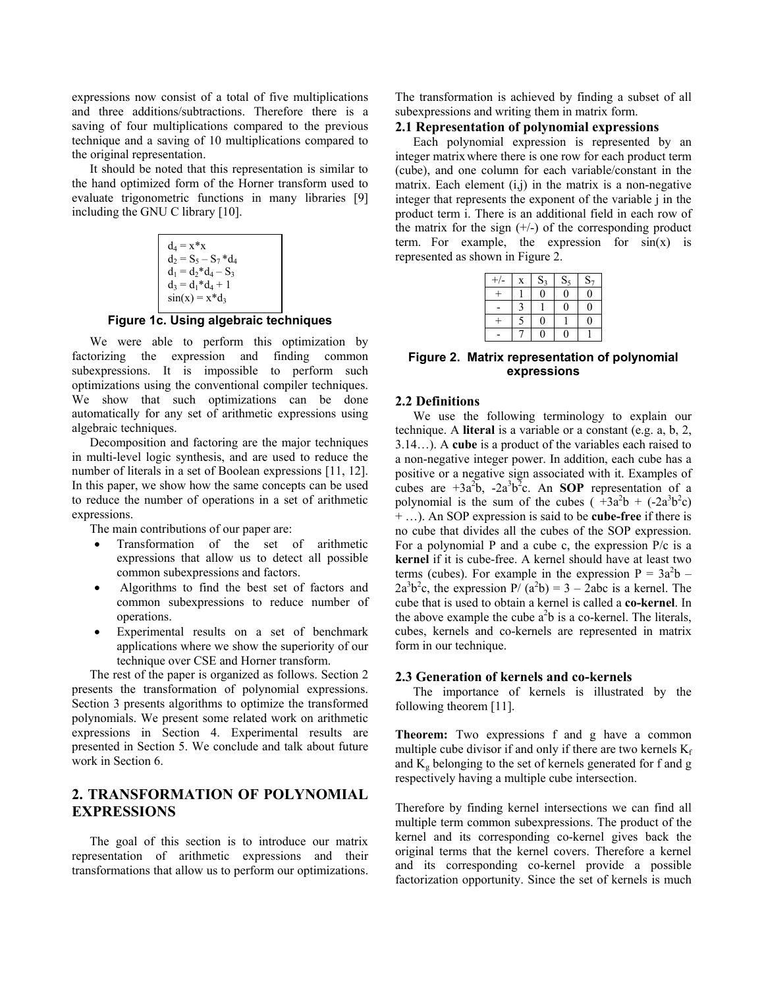expressions now consist of a total of five multiplications and three additions/subtractions. Therefore there is a saving of four multiplications compared to the previous technique and a saving of 10 multiplications compared to the original representation.

 It should be noted that this representation is similar to the hand optimized form of the Horner transform used to evaluate trigonometric functions in many libraries [9] including the GNU C library [10].

$$
d_4 = x^*x
$$
  
\n
$$
d_2 = S_5 - S_7^*d_4
$$
  
\n
$$
d_1 = d_2^*d_4 - S_3
$$
  
\n
$$
d_3 = d_1^*d_4 + 1
$$
  
\n
$$
sin(x) = x^*d_3
$$

**Figure 1c. Using algebraic techniques** 

 We were able to perform this optimization by factorizing the expression and finding common subexpressions. It is impossible to perform such optimizations using the conventional compiler techniques. We show that such optimizations can be done automatically for any set of arithmetic expressions using algebraic techniques.

 Decomposition and factoring are the major techniques in multi-level logic synthesis, and are used to reduce the number of literals in a set of Boolean expressions [11, 12]. In this paper, we show how the same concepts can be used to reduce the number of operations in a set of arithmetic expressions.

The main contributions of our paper are:

- Transformation of the set of arithmetic expressions that allow us to detect all possible common subexpressions and factors.
- Algorithms to find the best set of factors and common subexpressions to reduce number of operations.
- Experimental results on a set of benchmark applications where we show the superiority of our technique over CSE and Horner transform.

 The rest of the paper is organized as follows. Section 2 presents the transformation of polynomial expressions. Section 3 presents algorithms to optimize the transformed polynomials. We present some related work on arithmetic expressions in Section 4. Experimental results are presented in Section 5. We conclude and talk about future work in Section 6.

## **2. TRANSFORMATION OF POLYNOMIAL EXPRESSIONS**

The goal of this section is to introduce our matrix representation of arithmetic expressions and their transformations that allow us to perform our optimizations.

The transformation is achieved by finding a subset of all subexpressions and writing them in matrix form.

### **2.1 Representation of polynomial expressions**

Each polynomial expression is represented by an integer matrix where there is one row for each product term (cube), and one column for each variable/constant in the matrix. Each element  $(i,j)$  in the matrix is a non-negative integer that represents the exponent of the variable j in the product term i. There is an additional field in each row of the matrix for the sign  $(+/-)$  of the corresponding product term. For example, the expression for  $sin(x)$  is represented as shown in Figure 2.

| $\pm$ | X | $S_3$    | $S_5$          | $S_7$ |
|-------|---|----------|----------------|-------|
|       |   | $\theta$ | $\overline{0}$ | 0     |
|       |   |          | 0              | 0     |
|       | ς | 0        |                | 0     |
|       |   | Λ        |                |       |

**Figure 2. Matrix representation of polynomial expressions** 

### **2.2 Definitions**

 We use the following terminology to explain our technique. A **literal** is a variable or a constant (e.g. a, b, 2, 3.14…). A **cube** is a product of the variables each raised to a non-negative integer power. In addition, each cube has a positive or a negative sign associated with it. Examples of cubes are  $+3a^2b$ ,  $-2a^3b^2c$ . An **SOP** representation of a polynomial is the sum of the cubes  $(\pm 3a^2b + (-2a^3b^2c))$ + …). An SOP expression is said to be **cube-free** if there is no cube that divides all the cubes of the SOP expression. For a polynomial P and a cube c, the expression  $P/c$  is a **kernel** if it is cube-free. A kernel should have at least two terms (cubes). For example in the expression  $P = 3a^2b$  –  $2a^3b^2c$ , the expression  $P/(a^2b) = 3 - 2abc$  is a kernel. The cube that is used to obtain a kernel is called a **co-kernel**. In the above example the cube  $a^2b$  is a co-kernel. The literals, cubes, kernels and co-kernels are represented in matrix form in our technique.

#### **2.3 Generation of kernels and co-kernels**

The importance of kernels is illustrated by the following theorem [11].

**Theorem:** Two expressions f and g have a common multiple cube divisor if and only if there are two kernels  $K_f$ and  $K_g$  belonging to the set of kernels generated for f and g respectively having a multiple cube intersection.

Therefore by finding kernel intersections we can find all multiple term common subexpressions. The product of the kernel and its corresponding co-kernel gives back the original terms that the kernel covers. Therefore a kernel and its corresponding co-kernel provide a possible factorization opportunity. Since the set of kernels is much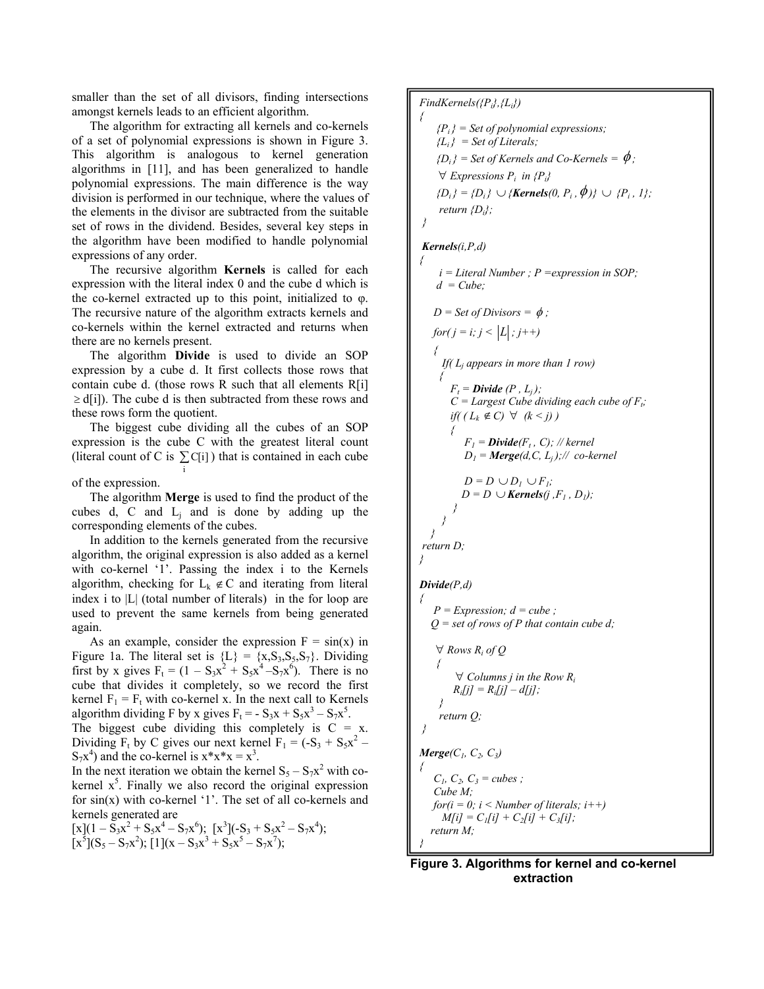smaller than the set of all divisors, finding intersections amongst kernels leads to an efficient algorithm.

The algorithm for extracting all kernels and co-kernels of a set of polynomial expressions is shown in Figure 3. This algorithm is analogous to kernel generation algorithms in [11], and has been generalized to handle polynomial expressions. The main difference is the way division is performed in our technique, where the values of the elements in the divisor are subtracted from the suitable set of rows in the dividend. Besides, several key steps in the algorithm have been modified to handle polynomial expressions of any order.

The recursive algorithm **Kernels** is called for each expression with the literal index 0 and the cube d which is the co-kernel extracted up to this point, initialized to φ. The recursive nature of the algorithm extracts kernels and co-kernels within the kernel extracted and returns when there are no kernels present.

The algorithm **Divide** is used to divide an SOP expression by a cube d. It first collects those rows that contain cube d. (those rows R such that all elements R[i]  $\geq d[i]$ ). The cube d is then subtracted from these rows and these rows form the quotient.

The biggest cube dividing all the cubes of an SOP expression is the cube C with the greatest literal count (literal count of C is  $\sum C[i]$ ) that is contained in each cube i

of the expression.

The algorithm **Merge** is used to find the product of the cubes d, C and  $L_i$  and is done by adding up the corresponding elements of the cubes.

In addition to the kernels generated from the recursive algorithm, the original expression is also added as a kernel with co-kernel '1'. Passing the index i to the Kernels algorithm, checking for  $L_k \notin C$  and iterating from literal index i to |L| (total number of literals) in the for loop are used to prevent the same kernels from being generated again.

As an example, consider the expression  $F = sin(x)$  in Figure 1a. The literal set is  ${L} = {x, S_3, S_5, S_7}$ . Dividing first by x gives  $F_t = (1 - S_3x^2 + S_5x^4 - S_7x^6)$ . There is no cube that divides it completely, so we record the first kernel  $F_1 = F_t$  with co-kernel x. In the next call to Kernels algorithm dividing F by x gives  $F_t = -S_3x + S_5x^3 - S_7x^5$ .

The biggest cube dividing this completely is  $C = x$ . Dividing  $F_t$  by C gives our next kernel  $F_1 = (-S_3 + S_5x^2 S_7x^4$ ) and the co-kernel is  $x^*x^*x = x^3$ .

In the next iteration we obtain the kernel  $S_5 - S_7x^2$  with cokernel  $x^5$ . Finally we also record the original expression for sin(x) with co-kernel '1'. The set of all co-kernels and kernels generated are

$$
\begin{array}{l}[x](1-\bar{S}_3x^2+S_5x^4-S_7x^6); & [x^3](-S_3+S_5x^2-S_7x^4);\\ [x^5](S_5-S_7x^2); & [1](x-S_3x^3+S_5x^5-S_7x^7); \end{array}
$$

*FindKernels({Pi},{Li}) {Pi } = Set of polynomial expressions;*   ${L_i} = Set of Literals;$  $\{D_i\}$  = Set of Kernels and Co-Kernels =  $\phi$ ;  $∀$  *Expressions P<sub>i</sub> in {P<sub>i</sub>} {D<sub>i</sub>}* = *{D<sub>i</sub>}* ∪ *{Kernels*(0, *P<sub>i</sub>*,  $\phi$ )} ∪ *{P<sub>i</sub>*, *1}; return {Di}; } Kernels(i,P,d) i = Literal Number ; P =expression in SOP;*   $d = Cube;$  $D = Set of Divisors = \phi$ ; *for*( $j = i$ ;  $j < |L|$ ;  $j++)$  *{ If( Lj appears in more than 1 row) {*   $F_t = \textbf{Divide}(P, L_i);$  $C = \text{Largest Cube dividing each cube of } F_t$ ; *if*(  $(L_k \notin C)$  ∀  $(k < j)$  )  *{*   $F_i = \text{Divide}(F_i, C)$ ; // kernel  $D_l = \text{Merge}(d, C, L_i);$ // co-kernel  $D = D \cup D_l \cup F_l;$  $D = D \cup$ *Kernels* $(j, F_1, D_1)$ ;  *} } } return D; Divide(P,d)* 

*{* 

*{* 

*}* 

```
{ 
   P = Expression; d = cube;
    Q = set of rows of P that contain cube d; 
    ∀Rows R<sub>i</sub> of Q
 { 
          ∀ Columns j in the Row Ri 
        R_i[j] = R_i[j] - d[j];
     } 
     return Q; 
 } 
Merge(C_1, C_2, C_3){ 
   C_1, C_2, C_3 = \text{cubes};
    Cube M; 
   for(i = 0; i < Number of literals; i++)
     M[i] = C_1[i] + C_2[i] + C_3[i]; return M; 
}
```
 **Figure 3. Algorithms for kernel and co-kernel extraction**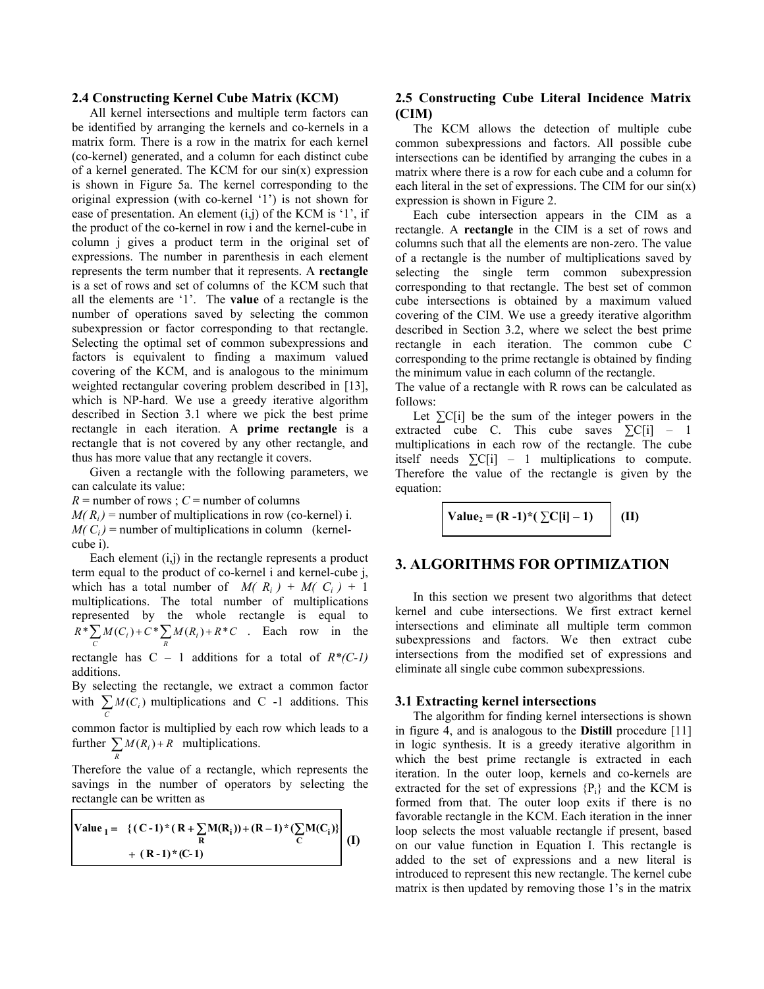#### **2.4 Constructing Kernel Cube Matrix (KCM)**

 All kernel intersections and multiple term factors can be identified by arranging the kernels and co-kernels in a matrix form. There is a row in the matrix for each kernel (co-kernel) generated, and a column for each distinct cube of a kernel generated. The KCM for our  $sin(x)$  expression is shown in Figure 5a. The kernel corresponding to the original expression (with co-kernel '1') is not shown for ease of presentation. An element (i,j) of the KCM is '1', if the product of the co-kernel in row i and the kernel-cube in column j gives a product term in the original set of expressions. The number in parenthesis in each element represents the term number that it represents. A **rectangle** is a set of rows and set of columns of the KCM such that all the elements are '1'. The **value** of a rectangle is the number of operations saved by selecting the common subexpression or factor corresponding to that rectangle. Selecting the optimal set of common subexpressions and factors is equivalent to finding a maximum valued covering of the KCM, and is analogous to the minimum weighted rectangular covering problem described in [13], which is NP-hard. We use a greedy iterative algorithm described in Section 3.1 where we pick the best prime rectangle in each iteration. A **prime rectangle** is a rectangle that is not covered by any other rectangle, and thus has more value that any rectangle it covers.

 Given a rectangle with the following parameters, we can calculate its value:

 $R =$  number of rows ;  $C =$  number of columns  $M(R<sub>i</sub>)$  = number of multiplications in row (co-kernel) i.  $M(C_i)$  = number of multiplications in column (kernelcube i).

 Each element (i,j) in the rectangle represents a product term equal to the product of co-kernel i and kernel-cube j, which has a total number of  $M(R_i) + M(C_i) + 1$ multiplications. The total number of multiplications represented by the whole rectangle is equal to  $R^* \sum M(C_i) + C^* \sum M(R_i) + R^*C$  $\sum_{i}^{*} M(C_i) + C^* \sum_{i}^{} M(R_i) + R^* C$  . Each row in the

rectangle has  $C - 1$  additions for a total of  $R^*(C-1)$ additions.

By selecting the rectangle, we extract a common factor with  $\sum M(C_i)$  multiplications and C -1 additions. This *C*

common factor is multiplied by each row which leads to a further  $\sum M(R_i) + R$  multiplications.

*R*

г

Therefore the value of a rectangle, which represents the savings in the number of operators by selecting the rectangle can be written as

Value<sub>1</sub> = {
$$
(C-1)
$$
\*(R+ $\sum_{R}$ M(R<sub>i</sub>))+(R-1)\*( $\sum_{C}$ M(C<sub>i</sub>)}  
+ (R-1)\*(C-1) (I)

### **2.5 Constructing Cube Literal Incidence Matrix (CIM)**

The KCM allows the detection of multiple cube common subexpressions and factors. All possible cube intersections can be identified by arranging the cubes in a matrix where there is a row for each cube and a column for each literal in the set of expressions. The CIM for our  $sin(x)$ expression is shown in Figure 2.

 Each cube intersection appears in the CIM as a rectangle. A **rectangle** in the CIM is a set of rows and columns such that all the elements are non-zero. The value of a rectangle is the number of multiplications saved by selecting the single term common subexpression corresponding to that rectangle. The best set of common cube intersections is obtained by a maximum valued covering of the CIM. We use a greedy iterative algorithm described in Section 3.2, where we select the best prime rectangle in each iteration. The common cube C corresponding to the prime rectangle is obtained by finding the minimum value in each column of the rectangle.

The value of a rectangle with R rows can be calculated as follows:

Let  $\Sigma$ C[i] be the sum of the integer powers in the extracted cube C. This cube saves  $\Sigma$ C[i] – 1 multiplications in each row of the rectangle. The cube itself needs  $\sum C[i]$  – 1 multiplications to compute. Therefore the value of the rectangle is given by the equation:

Value<sub>2</sub> = (R - 1)\*(
$$
\sum C[i] - 1
$$
) (II)

### **3. ALGORITHMS FOR OPTIMIZATION**

In this section we present two algorithms that detect kernel and cube intersections. We first extract kernel intersections and eliminate all multiple term common subexpressions and factors. We then extract cube intersections from the modified set of expressions and eliminate all single cube common subexpressions.

#### **3.1 Extracting kernel intersections**

 The algorithm for finding kernel intersections is shown in figure 4, and is analogous to the **Distill** procedure [11] in logic synthesis. It is a greedy iterative algorithm in which the best prime rectangle is extracted in each iteration. In the outer loop, kernels and co-kernels are extracted for the set of expressions  ${P_i}$  and the KCM is formed from that. The outer loop exits if there is no favorable rectangle in the KCM. Each iteration in the inner loop selects the most valuable rectangle if present, based on our value function in Equation I. This rectangle is added to the set of expressions and a new literal is introduced to represent this new rectangle. The kernel cube matrix is then updated by removing those 1's in the matrix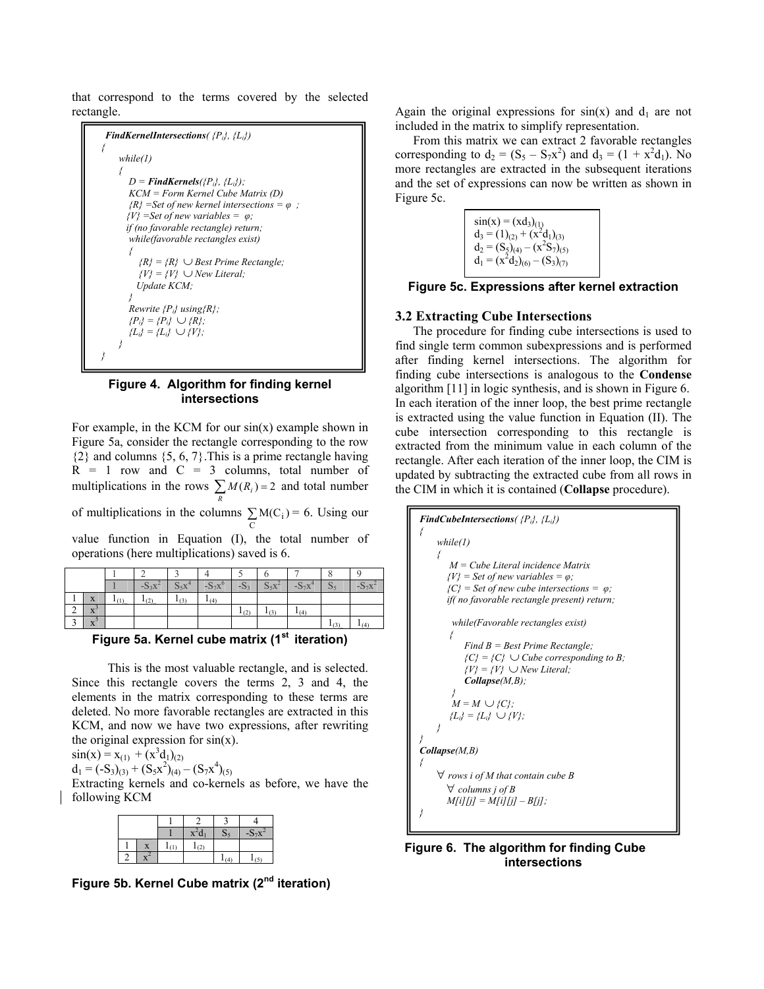that correspond to the terms covered by the selected rectangle.



#### **Figure 4. Algorithm for finding kernel intersections**

For example, in the KCM for our  $sin(x)$  example shown in Figure 5a, consider the rectangle corresponding to the row  $\{2\}$  and columns  $\{5, 6, 7\}$ . This is a prime rectangle having  $R = 1$  row and  $C = 3$  columns, total number of multiplications in the rows  $\sum M(R_i) = 2$  and total number *R* of multiplications in the columns  $\sum M(C_i)$  $\sum_{i} M(C_i) = 6$ . Using our value function in Equation (I), the total number of operations (here multiplications) saved is 6.

|   |                        | ٦ĸ. | ພງ∡⊾ | 77  | ٦О., |    |  |
|---|------------------------|-----|------|-----|------|----|--|
|   | <b>XF</b><br>$\Lambda$ | ı   | د ا  | (4) |      |    |  |
| ∼ | $\Lambda$              |     |      |     | (2   | 14 |  |
|   | л                      |     |      |     |      |    |  |

**Figure 5a. Kernel cube matrix (1st iteration)**

 This is the most valuable rectangle, and is selected. Since this rectangle covers the terms 2, 3 and 4, the elements in the matrix corresponding to these terms are deleted. No more favorable rectangles are extracted in this KCM, and now we have two expressions, after rewriting the original expression for  $sin(x)$ .

$$
sin(x) = x_{(1)} + (x^3d_1)_{(2)}
$$
  
d<sub>1</sub> = (-S<sub>3</sub>)<sub>(3)</sub> + (S<sub>5</sub>x<sup>2</sup>)<sub>(4)</sub> - (S<sub>7</sub>x<sup>4</sup>

$$
d_1 = (-S_3)_{(3)} + (S_5x^2)_{(4)} - (S_7x^4)_{(5)}
$$

Extracting kernels and co-kernels as before, we have the following KCM

|  |  |     | $-S_7x$ |
|--|--|-----|---------|
|  |  | (2) |         |
|  |  |     |         |

**Figure 5b. Kernel Cube matrix (2nd iteration)**

Again the original expressions for  $sin(x)$  and  $d_1$  are not included in the matrix to simplify representation.

 From this matrix we can extract 2 favorable rectangles corresponding to  $d_2 = (S_5 - S_7x^2)$  and  $d_3 = (1 + x^2d_1)$ . No more rectangles are extracted in the subsequent iterations and the set of expressions can now be written as shown in Figure 5c.

> $sin(x) = (xd_3)_{(1)}$  $d_3 = (1)_{(2)} + (x^2 d_1)_{(3)}$  $d_2 = (S_5)_{(4)} - (x^2S_7)_{(5)}$  $d_1 = (x^2 d_2)_{(6)} - (S_3)_{(7)}$

**Figure 5c. Expressions after kernel extraction** 

## **3.2 Extracting Cube Intersections**

The procedure for finding cube intersections is used to find single term common subexpressions and is performed after finding kernel intersections. The algorithm for finding cube intersections is analogous to the **Condense** algorithm [11] in logic synthesis, and is shown in Figure 6. In each iteration of the inner loop, the best prime rectangle is extracted using the value function in Equation (II). The cube intersection corresponding to this rectangle is extracted from the minimum value in each column of the rectangle. After each iteration of the inner loop, the CIM is updated by subtracting the extracted cube from all rows in the CIM in which it is contained (**Collapse** procedure).

| <b>FindCubeIntersections</b> ( $\{P_i\}$ , $\{L_i\}$ ) |
|--------------------------------------------------------|
| while(1)                                               |
|                                                        |
| $M = Cube\ Literature$ Literal incidence Matrix        |
| $\{V\}$ = Set of new variables = $\varphi$ ;           |
| $\{C\}$ = Set of new cube intersections = $\varphi$ ;  |
| if(no favorable rectangle present) return;             |
| while(Favorable rectangles exist)                      |
| ł<br>Find $B = Best Prime Rectangle;$                  |
| $\{C\} = \{C\}$ $\cup$ Cube corresponding to B;        |
| $\{V\} = \{V\} \cup New \, Literal;$                   |
| Collapse(M, B);                                        |
|                                                        |
| $M = M \cup \{C\};$<br>$\{L_i\} = \{L_i\} \cup \{V\};$ |
| ł                                                      |
|                                                        |
| Collapse(M, B)                                         |
|                                                        |
| $\forall$ rows i of M that contain cube B              |
| $\forall$ columns j of B                               |
| $M[i][j] = M[i][j] - B[j];$                            |
|                                                        |

 **Figure 6. The algorithm for finding Cube intersections**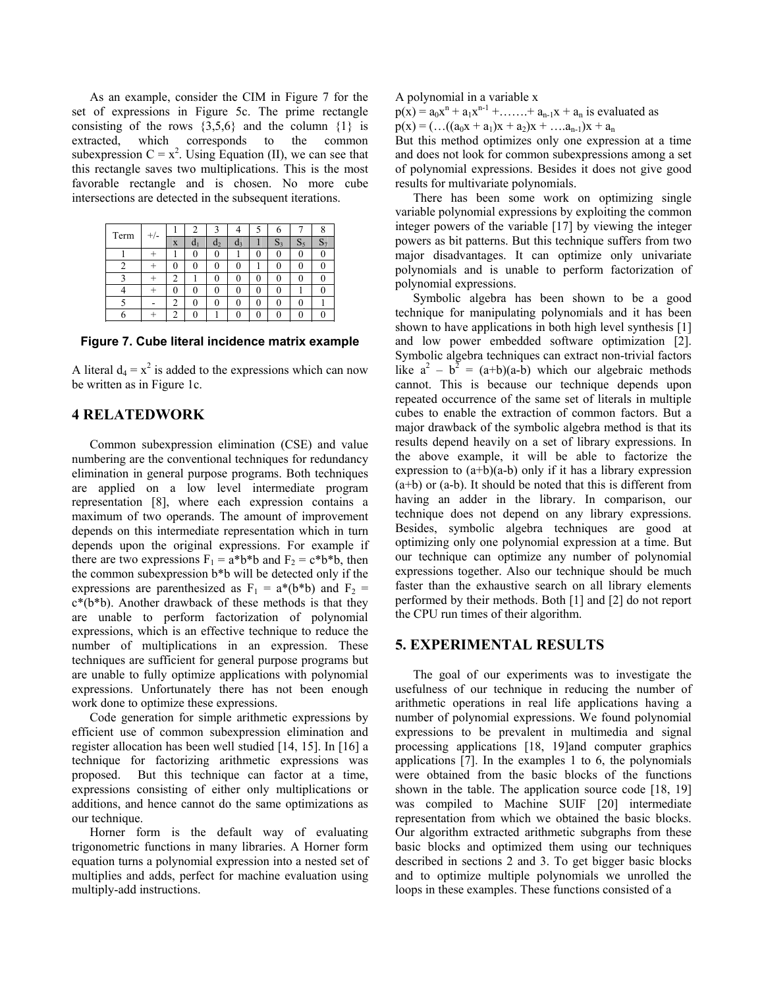As an example, consider the CIM in Figure 7 for the set of expressions in Figure 5c. The prime rectangle consisting of the rows  $\{3,5,6\}$  and the column  $\{1\}$  is extracted, which corresponds to the common subexpression  $C = x^2$ . Using Equation (II), we can see that this rectangle saves two multiplications. This is the most favorable rectangle and is chosen. No more cube intersections are detected in the subsequent iterations.

| Term | $+/-$ |   |   |                |                  |    | o |
|------|-------|---|---|----------------|------------------|----|---|
|      |       | X |   | a <sub>2</sub> | $\mathfrak{a}_3$ | D3 |   |
|      |       |   |   | 0              |                  | U  |   |
|      |       | 0 | 0 | 0              |                  |    |   |
|      |       | 2 |   | 0              |                  |    |   |
|      |       |   |   |                |                  |    |   |
|      |       | 2 |   |                |                  |    |   |
|      |       | ↑ |   |                |                  |    |   |

**Figure 7. Cube literal incidence matrix example** 

A literal  $d_4 = x^2$  is added to the expressions which can now be written as in Figure 1c.

## **4 RELATEDWORK**

Common subexpression elimination (CSE) and value numbering are the conventional techniques for redundancy elimination in general purpose programs. Both techniques are applied on a low level intermediate program representation [8], where each expression contains a maximum of two operands. The amount of improvement depends on this intermediate representation which in turn depends upon the original expressions. For example if there are two expressions  $F_1 = a * b * b$  and  $F_2 = c * b * b$ , then the common subexpression b\*b will be detected only if the expressions are parenthesized as  $F_1 = a^*(b^*b)$  and  $F_2 =$  $c^*(b^*b)$ . Another drawback of these methods is that they are unable to perform factorization of polynomial expressions, which is an effective technique to reduce the number of multiplications in an expression. These techniques are sufficient for general purpose programs but are unable to fully optimize applications with polynomial expressions. Unfortunately there has not been enough work done to optimize these expressions.

 Code generation for simple arithmetic expressions by efficient use of common subexpression elimination and register allocation has been well studied [14, 15]. In [16] a technique for factorizing arithmetic expressions was proposed. But this technique can factor at a time, expressions consisting of either only multiplications or additions, and hence cannot do the same optimizations as our technique.

Horner form is the default way of evaluating trigonometric functions in many libraries. A Horner form equation turns a polynomial expression into a nested set of multiplies and adds, perfect for machine evaluation using multiply-add instructions.

A polynomial in a variable x

 $p(x) = a_0x^n + a_1x^{n-1} + \dots + a_{n-1}x + a_n$  is evaluated as  $p(x) = (...(a_0x + a_1)x + a_2)x + ... a_{n-1}x + a_n$ 

But this method optimizes only one expression at a time and does not look for common subexpressions among a set of polynomial expressions. Besides it does not give good results for multivariate polynomials.

 There has been some work on optimizing single variable polynomial expressions by exploiting the common integer powers of the variable [17] by viewing the integer powers as bit patterns. But this technique suffers from two major disadvantages. It can optimize only univariate polynomials and is unable to perform factorization of polynomial expressions.

Symbolic algebra has been shown to be a good technique for manipulating polynomials and it has been shown to have applications in both high level synthesis [1] and low power embedded software optimization [2]. Symbolic algebra techniques can extract non-trivial factors like  $a^2 - b^2 = (a+b)(a-b)$  which our algebraic methods cannot. This is because our technique depends upon repeated occurrence of the same set of literals in multiple cubes to enable the extraction of common factors. But a major drawback of the symbolic algebra method is that its results depend heavily on a set of library expressions. In the above example, it will be able to factorize the expression to  $(a+b)(a-b)$  only if it has a library expression (a+b) or (a-b). It should be noted that this is different from having an adder in the library. In comparison, our technique does not depend on any library expressions. Besides, symbolic algebra techniques are good at optimizing only one polynomial expression at a time. But our technique can optimize any number of polynomial expressions together. Also our technique should be much faster than the exhaustive search on all library elements performed by their methods. Both [1] and [2] do not report the CPU run times of their algorithm.

## **5. EXPERIMENTAL RESULTS**

 The goal of our experiments was to investigate the usefulness of our technique in reducing the number of arithmetic operations in real life applications having a number of polynomial expressions. We found polynomial expressions to be prevalent in multimedia and signal processing applications [18, 19]and computer graphics applications [7]. In the examples 1 to 6, the polynomials were obtained from the basic blocks of the functions shown in the table. The application source code [18, 19] was compiled to Machine SUIF [20] intermediate representation from which we obtained the basic blocks. Our algorithm extracted arithmetic subgraphs from these basic blocks and optimized them using our techniques described in sections 2 and 3. To get bigger basic blocks and to optimize multiple polynomials we unrolled the loops in these examples. These functions consisted of a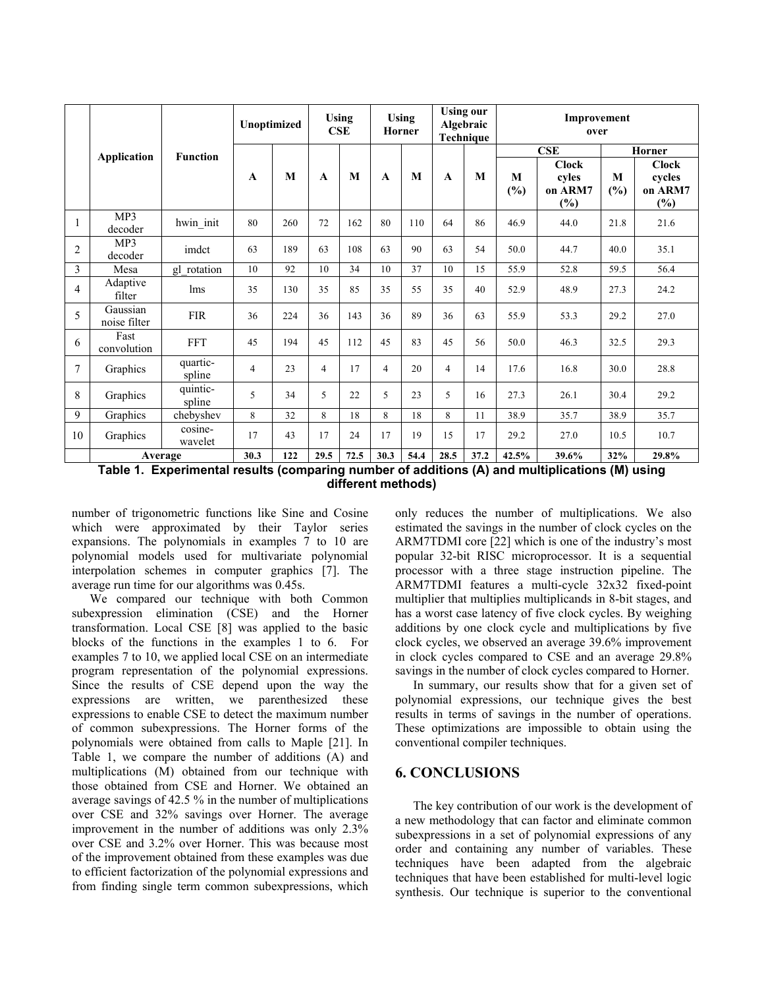|                |                          |                    | Unoptimized |     | <b>Using</b><br>CSE |      | <b>Using</b><br>Horner |      | <b>Using our</b><br>Algebraic<br>Technique |      | Improvement<br>over |                                            |          |                                          |
|----------------|--------------------------|--------------------|-------------|-----|---------------------|------|------------------------|------|--------------------------------------------|------|---------------------|--------------------------------------------|----------|------------------------------------------|
|                |                          | <b>Function</b>    |             |     |                     |      |                        |      |                                            |      |                     | CSE                                        | Horner   |                                          |
|                | Application              |                    | A           | M   | $\mathbf{A}$        | M    | $\mathbf{A}$           | M    | $\mathbf{A}$                               | M    | M<br>(%)            | <b>Clock</b><br>cyles<br>on ARM7<br>$(\%)$ | M<br>(%) | <b>Clock</b><br>cycles<br>on ARM7<br>(%) |
| 1              | MP3<br>decoder           | hwin_init          | 80          | 260 | 72                  | 162  | 80                     | 110  | 64                                         | 86   | 46.9                | 44.0                                       | 21.8     | 21.6                                     |
| $\overline{c}$ | MP3<br>decoder           | imdct              | 63          | 189 | 63                  | 108  | 63                     | 90   | 63                                         | 54   | 50.0                | 44.7                                       | 40.0     | 35.1                                     |
| 3              | Mesa                     | gl rotation        | 10          | 92  | 10                  | 34   | 10                     | 37   | 10                                         | 15   | 55.9                | 52.8                                       | 59.5     | 56.4                                     |
| $\overline{4}$ | Adaptive<br>filter       | lms                | 35          | 130 | 35                  | 85   | 35                     | 55   | 35                                         | 40   | 52.9                | 48.9                                       | 27.3     | 24.2                                     |
| 5              | Gaussian<br>noise filter | <b>FIR</b>         | 36          | 224 | 36                  | 143  | 36                     | 89   | 36                                         | 63   | 55.9                | 53.3                                       | 29.2     | 27.0                                     |
| 6              | Fast<br>convolution      | <b>FFT</b>         | 45          | 194 | 45                  | 112  | 45                     | 83   | 45                                         | 56   | 50.0                | 46.3                                       | 32.5     | 29.3                                     |
| 7              | Graphics                 | quartic-<br>spline | 4           | 23  | $\overline{4}$      | 17   | 4                      | 20   | $\overline{4}$                             | 14   | 17.6                | 16.8                                       | 30.0     | 28.8                                     |
| 8              | Graphics                 | quintic-<br>spline | 5           | 34  | 5                   | 22   | 5                      | 23   | 5                                          | 16   | 27.3                | 26.1                                       | 30.4     | 29.2                                     |
| 9              | Graphics                 | chebyshev          | 8           | 32  | 8                   | 18   | 8                      | 18   | 8                                          | 11   | 38.9                | 35.7                                       | 38.9     | 35.7                                     |
| 10             | Graphics                 | cosine-<br>wavelet | 17          | 43  | 17                  | 24   | 17                     | 19   | 15                                         | 17   | 29.2                | 27.0                                       | 10.5     | 10.7                                     |
|                | Average                  |                    | 30.3        | 122 | 29.5                | 72.5 | 30.3                   | 54.4 | 28.5                                       | 37.2 | 42.5%               | 39.6%                                      | 32%      | 29.8%                                    |

**Table 1. Experimental results (comparing number of additions (A) and multiplications (M) using different methods)** 

number of trigonometric functions like Sine and Cosine which were approximated by their Taylor series expansions. The polynomials in examples 7 to 10 are polynomial models used for multivariate polynomial interpolation schemes in computer graphics [7]. The average run time for our algorithms was 0.45s.

 We compared our technique with both Common subexpression elimination (CSE) and the Horner transformation. Local CSE [8] was applied to the basic blocks of the functions in the examples 1 to 6. For examples 7 to 10, we applied local CSE on an intermediate program representation of the polynomial expressions. Since the results of CSE depend upon the way the expressions are written, we parenthesized these expressions to enable CSE to detect the maximum number of common subexpressions. The Horner forms of the polynomials were obtained from calls to Maple [21]. In Table 1, we compare the number of additions (A) and multiplications (M) obtained from our technique with those obtained from CSE and Horner. We obtained an average savings of 42.5 % in the number of multiplications over CSE and 32% savings over Horner. The average improvement in the number of additions was only 2.3% over CSE and 3.2% over Horner. This was because most of the improvement obtained from these examples was due to efficient factorization of the polynomial expressions and from finding single term common subexpressions, which

only reduces the number of multiplications. We also estimated the savings in the number of clock cycles on the ARM7TDMI core [22] which is one of the industry's most popular 32-bit RISC microprocessor. It is a sequential processor with a three stage instruction pipeline. The ARM7TDMI features a multi-cycle 32x32 fixed-point multiplier that multiplies multiplicands in 8-bit stages, and has a worst case latency of five clock cycles. By weighing additions by one clock cycle and multiplications by five clock cycles, we observed an average 39.6% improvement in clock cycles compared to CSE and an average 29.8% savings in the number of clock cycles compared to Horner.

 In summary, our results show that for a given set of polynomial expressions, our technique gives the best results in terms of savings in the number of operations. These optimizations are impossible to obtain using the conventional compiler techniques.

### **6. CONCLUSIONS**

The key contribution of our work is the development of a new methodology that can factor and eliminate common subexpressions in a set of polynomial expressions of any order and containing any number of variables. These techniques have been adapted from the algebraic techniques that have been established for multi-level logic synthesis. Our technique is superior to the conventional